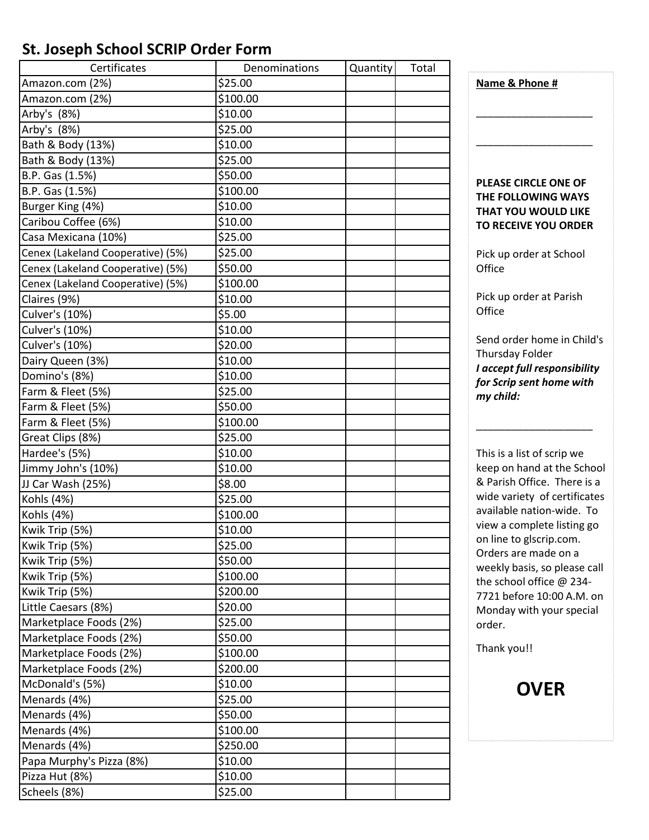## **St. Joseph School SCRIP Order Form**

| Certificates                      | Denominations | Quantity | Total |
|-----------------------------------|---------------|----------|-------|
| Amazon.com (2%)                   | \$25.00       |          |       |
| Amazon.com (2%)                   | \$100.00      |          |       |
| Arby's (8%)                       | \$10.00       |          |       |
| Arby's (8%)                       | \$25.00       |          |       |
| Bath & Body (13%)                 | \$10.00       |          |       |
| Bath & Body (13%)                 | \$25.00       |          |       |
| B.P. Gas (1.5%)                   | \$50.00       |          |       |
| B.P. Gas (1.5%)                   | \$100.00      |          |       |
| Burger King (4%)                  | \$10.00       |          |       |
| Caribou Coffee (6%)               | \$10.00       |          |       |
| Casa Mexicana (10%)               | \$25.00       |          |       |
| Cenex (Lakeland Cooperative) (5%) | \$25.00       |          |       |
| Cenex (Lakeland Cooperative) (5%) | \$50.00       |          |       |
| Cenex (Lakeland Cooperative) (5%) | \$100.00      |          |       |
| Claires (9%)                      | \$10.00       |          |       |
| Culver's (10%)                    | \$5.00        |          |       |
| Culver's (10%)                    | \$10.00       |          |       |
| Culver's (10%)                    | \$20.00       |          |       |
| Dairy Queen (3%)                  | \$10.00       |          |       |
| Domino's (8%)                     | \$10.00       |          |       |
| Farm & Fleet (5%)                 | \$25.00       |          |       |
| Farm & Fleet (5%)                 | \$50.00       |          |       |
| Farm & Fleet (5%)                 | \$100.00      |          |       |
| Great Clips (8%)                  | \$25.00       |          |       |
| Hardee's (5%)                     | \$10.00       |          |       |
| Jimmy John's (10%)                | \$10.00       |          |       |
| JJ Car Wash (25%)                 | \$8.00        |          |       |
| Kohls (4%)                        | \$25.00       |          |       |
| Kohls (4%)                        | \$100.00      |          |       |
| Kwik Trip (5%)                    | \$10.00       |          |       |
| Kwik Trip (5%)                    | \$25.00       |          |       |
| Kwik Trip (5%)                    | \$50.00       |          |       |
| Kwik Trip (5%)                    | \$100.00      |          |       |
| Kwik Trip (5%)                    | \$200.00      |          |       |
| Little Caesars (8%)               | \$20.00       |          |       |
| Marketplace Foods (2%)            | \$25.00       |          |       |
| Marketplace Foods (2%)            | \$50.00       |          |       |
| Marketplace Foods (2%)            | \$100.00      |          |       |
| Marketplace Foods (2%)            | \$200.00      |          |       |
| McDonald's (5%)                   | \$10.00       |          |       |
| Menards (4%)                      | \$25.00       |          |       |
| Menards (4%)                      | \$50.00       |          |       |
| Menards (4%)                      | \$100.00      |          |       |
| Menards (4%)                      | \$250.00      |          |       |
| Papa Murphy's Pizza (8%)          | \$10.00       |          |       |
| Pizza Hut (8%)                    | \$10.00       |          |       |
| Scheels (8%)                      | \$25.00       |          |       |

**Name & Phone #**  \_\_\_\_\_\_\_\_\_\_\_\_\_\_\_\_\_\_\_\_ \_\_\_\_\_\_\_\_\_\_\_\_\_\_\_\_\_\_\_\_ **PLEASE CIRCLE ONE OF THE FOLLOWING WAYS THAT YOU WOULD LIKE TO RECEIVE YOU ORDER** Pick up order at School **Office** Pick up order at Parish **Office** Send order home in Child's Thursday Folder *I accept full responsibility for Scrip sent home with my child:* \_\_\_\_\_\_\_\_\_\_\_\_\_\_\_\_\_\_\_\_

This is a list of scrip we keep on hand at the School & Parish Office. There is a wide variety of certificates available nation-wide. To view a complete listing go on line to glscrip.com. Orders are made on a weekly basis, so please call the school office @ 234- 7721 before 10:00 A.M. on Monday with your special order.

Thank you!!